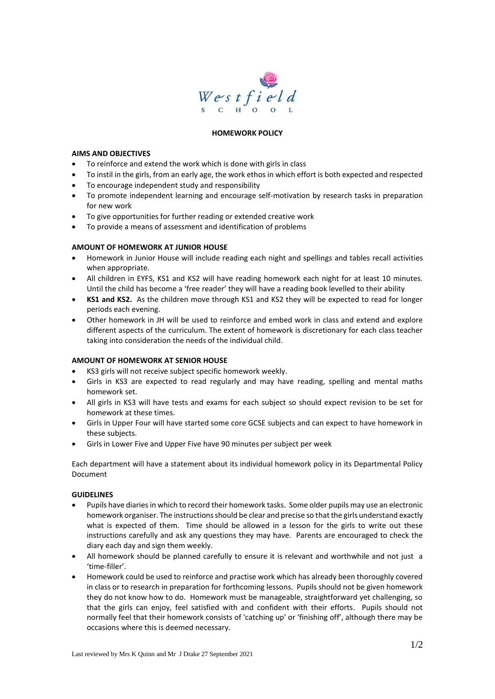

# **HOMEWORK POLICY**

## **AIMS AND OBJECTIVES**

- To reinforce and extend the work which is done with girls in class
- To instil in the girls, from an early age, the work ethos in which effort is both expected and respected
- To encourage independent study and responsibility
- To promote independent learning and encourage self-motivation by research tasks in preparation for new work
- To give opportunities for further reading or extended creative work
- To provide a means of assessment and identification of problems

# **AMOUNT OF HOMEWORK AT JUNIOR HOUSE**

- Homework in Junior House will include reading each night and spellings and tables recall activities when appropriate.
- All children in EYFS, KS1 and KS2 will have reading homework each night for at least 10 minutes. Until the child has become a 'free reader' they will have a reading book levelled to their ability
- **KS1 and KS2.** As the children move through KS1 and KS2 they will be expected to read for longer periods each evening.
- Other homework in JH will be used to reinforce and embed work in class and extend and explore different aspects of the curriculum. The extent of homework is discretionary for each class teacher taking into consideration the needs of the individual child.

# **AMOUNT OF HOMEWORK AT SENIOR HOUSE**

- KS3 girls will not receive subject specific homework weekly.
- Girls in KS3 are expected to read regularly and may have reading, spelling and mental maths homework set.
- All girls in KS3 will have tests and exams for each subject so should expect revision to be set for homework at these times.
- Girls in Upper Four will have started some core GCSE subjects and can expect to have homework in these subjects.
- Girls in Lower Five and Upper Five have 90 minutes per subject per week

Each department will have a statement about its individual homework policy in its Departmental Policy Document

# **GUIDELINES**

- Pupils have diaries in which to record their homework tasks. Some older pupils may use an electronic homework organiser. The instructions should be clear and precise so that the girls understand exactly what is expected of them. Time should be allowed in a lesson for the girls to write out these instructions carefully and ask any questions they may have. Parents are encouraged to check the diary each day and sign them weekly.
- All homework should be planned carefully to ensure it is relevant and worthwhile and not just a 'time-filler'.
- Homework could be used to reinforce and practise work which has already been thoroughly covered in class or to research in preparation for forthcoming lessons. Pupils should not be given homework they do not know how to do. Homework must be manageable, straightforward yet challenging, so that the girls can enjoy, feel satisfied with and confident with their efforts. Pupils should not normally feel that their homework consists of 'catching up' or 'finishing off', although there may be occasions where this is deemed necessary.